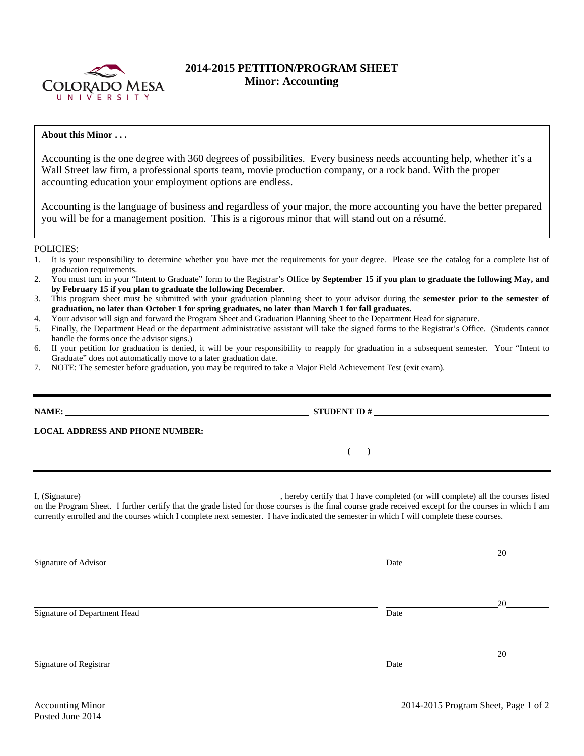

## **2014-2015 PETITION/PROGRAM SHEET Minor: Accounting**

## **About this Minor . . .**

Accounting is the one degree with 360 degrees of possibilities. Every business needs accounting help, whether it's a Wall Street law firm, a professional sports team, movie production company, or a rock band. With the proper accounting education your employment options are endless.

Accounting is the language of business and regardless of your major, the more accounting you have the better prepared you will be for a management position. This is a rigorous minor that will stand out on a résumé.

## POLICIES:

- 1. It is your responsibility to determine whether you have met the requirements for your degree. Please see the catalog for a complete list of graduation requirements.
- 2. You must turn in your "Intent to Graduate" form to the Registrar's Office **by September 15 if you plan to graduate the following May, and by February 15 if you plan to graduate the following December**.
- 3. This program sheet must be submitted with your graduation planning sheet to your advisor during the **semester prior to the semester of graduation, no later than October 1 for spring graduates, no later than March 1 for fall graduates.**
- 4. Your advisor will sign and forward the Program Sheet and Graduation Planning Sheet to the Department Head for signature.
- 5. Finally, the Department Head or the department administrative assistant will take the signed forms to the Registrar's Office. (Students cannot handle the forms once the advisor signs.)
- 6. If your petition for graduation is denied, it will be your responsibility to reapply for graduation in a subsequent semester. Your "Intent to Graduate" does not automatically move to a later graduation date.
- 7. NOTE: The semester before graduation, you may be required to take a Major Field Achievement Test (exit exam).

| NAME: $\qquad \qquad \qquad \textbf{STUDENT ID } \#$                                                                                                                                                                                                                                                |                                                                                                                                                                                                                                                                                                                                                                                             |    |
|-----------------------------------------------------------------------------------------------------------------------------------------------------------------------------------------------------------------------------------------------------------------------------------------------------|---------------------------------------------------------------------------------------------------------------------------------------------------------------------------------------------------------------------------------------------------------------------------------------------------------------------------------------------------------------------------------------------|----|
| LOCAL ADDRESS AND PHONE NUMBER: Under the contract of the contract of the contract of the contract of the contract of the contract of the contract of the contract of the contract of the contract of the contract of the cont                                                                      |                                                                                                                                                                                                                                                                                                                                                                                             |    |
| $\overline{\phantom{a}}$ . The contract of the contract of the contract of the contract of the contract of the contract of the contract of the contract of the contract of the contract of the contract of the contract of the contract of                                                          | $\begin{picture}(20,10) \put(0,0){\dashbox{0.5}(10,0){ }} \put(15,0){\circle{10}} \put(15,0){\circle{10}} \put(15,0){\circle{10}} \put(15,0){\circle{10}} \put(15,0){\circle{10}} \put(15,0){\circle{10}} \put(15,0){\circle{10}} \put(15,0){\circle{10}} \put(15,0){\circle{10}} \put(15,0){\circle{10}} \put(15,0){\circle{10}} \put(15,0){\circle{10}} \put(15,0){\circle{10}} \put(15,$ |    |
| on the Program Sheet. I further certify that the grade listed for those courses is the final course grade received except for the courses in which I am<br>currently enrolled and the courses which I complete next semester. I have indicated the semester in which I will complete these courses. |                                                                                                                                                                                                                                                                                                                                                                                             |    |
| Signature of Advisor                                                                                                                                                                                                                                                                                | Date                                                                                                                                                                                                                                                                                                                                                                                        | 20 |
| Signature of Department Head                                                                                                                                                                                                                                                                        | Date                                                                                                                                                                                                                                                                                                                                                                                        | 20 |
| Signature of Registrar                                                                                                                                                                                                                                                                              | Date                                                                                                                                                                                                                                                                                                                                                                                        | 20 |